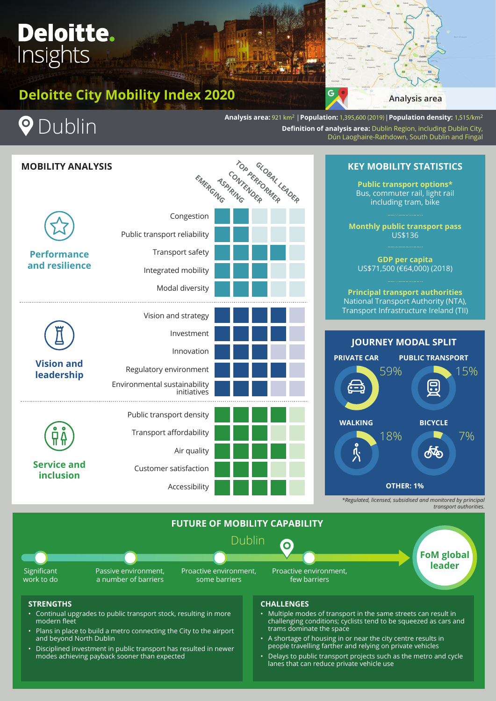# Deloitte. Insights

# **Deloitte City Mobility Index 2020 Analysis area**



**P** Dublin

**Analysis area:** 921 km2 | **Population:** 1,395,600 (2019) | **Population density:** 1,515/km2 **Definition of analysis area:** Dublin Region, including Dublin City, Dún Laoghaire-Rathdown, South Dublin and Fingal

| <b>MOBILITY ANALYSIS</b>               |                                                    |  | EMERGASPIRITION PREFIDENCER |  |
|----------------------------------------|----------------------------------------------------|--|-----------------------------|--|
| <b>Performance</b><br>and resilience   | Congestion                                         |  |                             |  |
|                                        | Public transport reliability                       |  |                             |  |
|                                        | Transport safety                                   |  |                             |  |
|                                        | Integrated mobility                                |  |                             |  |
|                                        | Modal diversity                                    |  |                             |  |
| <b>Vision and</b><br>leadership        | Vision and strategy                                |  |                             |  |
|                                        | Investment                                         |  |                             |  |
|                                        | Innovation                                         |  |                             |  |
|                                        | Regulatory environment                             |  |                             |  |
|                                        | Environmental sustainability<br><i>initiatives</i> |  |                             |  |
| <b>Service and</b><br><b>inclusion</b> | Public transport density                           |  |                             |  |
|                                        | Transport affordability                            |  |                             |  |
|                                        | Air quality                                        |  |                             |  |
|                                        | Customer satisfaction                              |  |                             |  |
|                                        | Accessibility                                      |  |                             |  |

## **KEY MOBILITY STATISTICS**

**Public transport options\*** Bus, commuter rail, light rail including tram, bike

**Monthly public transport pass**  US\$136

**GDP per capita** US\$71,500 (€64,000) (2018)

**Principal transport authorities** National Transport Authority (NTA), Transport Infrastructure Ireland (TII)



*\*Regulated, licensed, subsidised and monitored by principal transport authorities.*



## **STRENGTHS**

- Continual upgrades to public transport stock, resulting in more modern fleet
- Plans in place to build a metro connecting the City to the airport and beyond North Dublin
- Disciplined investment in public transport has resulted in newer modes achieving payback sooner than expected

## **CHALLENGES**

- Multiple modes of transport in the same streets can result in challenging conditions; cyclists tend to be squeezed as cars and trams dominate the space
- A shortage of housing in or near the city centre results in people travelling farther and relying on private vehicles
- Delays to public transport projects such as the metro and cycle lanes that can reduce private vehicle use